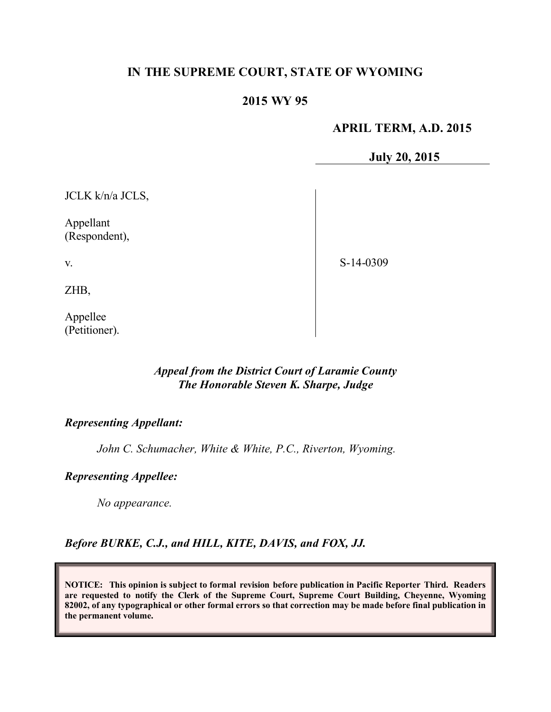# **IN THE SUPREME COURT, STATE OF WYOMING**

# **2015 WY 95**

### **APRIL TERM, A.D. 2015**

**July 20, 2015**

JCLK k/n/a JCLS,

Appellant (Respondent),

S-14-0309

ZHB,

v.

Appellee (Petitioner).

# *Appeal from the District Court of Laramie County The Honorable Steven K. Sharpe, Judge*

### *Representing Appellant:*

*John C. Schumacher, White & White, P.C., Riverton, Wyoming.*

#### *Representing Appellee:*

*No appearance.*

#### *Before BURKE, C.J., and HILL, KITE, DAVIS, and FOX, JJ.*

**NOTICE: This opinion is subject to formal revision before publication in Pacific Reporter Third. Readers are requested to notify the Clerk of the Supreme Court, Supreme Court Building, Cheyenne, Wyoming 82002, of any typographical or other formal errors so that correction may be made before final publication in the permanent volume.**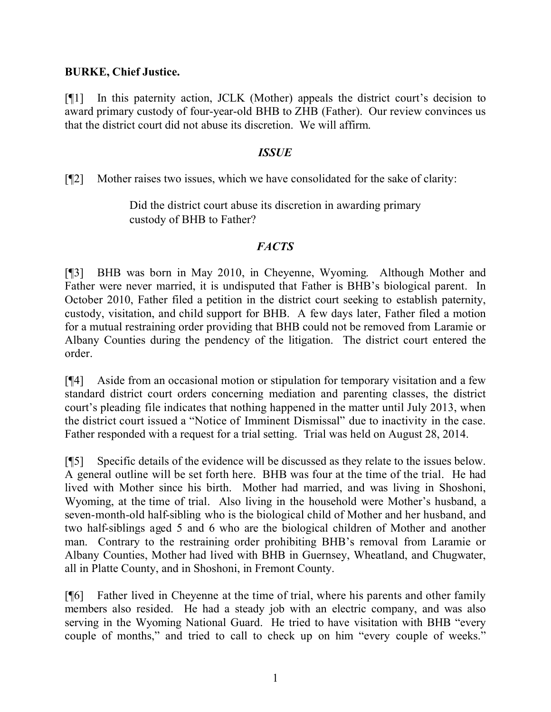### **BURKE, Chief Justice.**

[¶1] In this paternity action, JCLK (Mother) appeals the district court's decision to award primary custody of four-year-old BHB to ZHB (Father). Our review convinces us that the district court did not abuse its discretion. We will affirm.

### *ISSUE*

[¶2] Mother raises two issues, which we have consolidated for the sake of clarity:

Did the district court abuse its discretion in awarding primary custody of BHB to Father?

# *FACTS*

[¶3] BHB was born in May 2010, in Cheyenne, Wyoming. Although Mother and Father were never married, it is undisputed that Father is BHB's biological parent. In October 2010, Father filed a petition in the district court seeking to establish paternity, custody, visitation, and child support for BHB. A few days later, Father filed a motion for a mutual restraining order providing that BHB could not be removed from Laramie or Albany Counties during the pendency of the litigation. The district court entered the order.

[¶4] Aside from an occasional motion or stipulation for temporary visitation and a few standard district court orders concerning mediation and parenting classes, the district court's pleading file indicates that nothing happened in the matter until July 2013, when the district court issued a "Notice of Imminent Dismissal" due to inactivity in the case. Father responded with a request for a trial setting. Trial was held on August 28, 2014.

[¶5] Specific details of the evidence will be discussed as they relate to the issues below. A general outline will be set forth here. BHB was four at the time of the trial. He had lived with Mother since his birth. Mother had married, and was living in Shoshoni, Wyoming, at the time of trial. Also living in the household were Mother's husband, a seven-month-old half-sibling who is the biological child of Mother and her husband, and two half-siblings aged 5 and 6 who are the biological children of Mother and another man. Contrary to the restraining order prohibiting BHB's removal from Laramie or Albany Counties, Mother had lived with BHB in Guernsey, Wheatland, and Chugwater, all in Platte County, and in Shoshoni, in Fremont County.

[¶6] Father lived in Cheyenne at the time of trial, where his parents and other family members also resided. He had a steady job with an electric company, and was also serving in the Wyoming National Guard. He tried to have visitation with BHB "every couple of months," and tried to call to check up on him "every couple of weeks."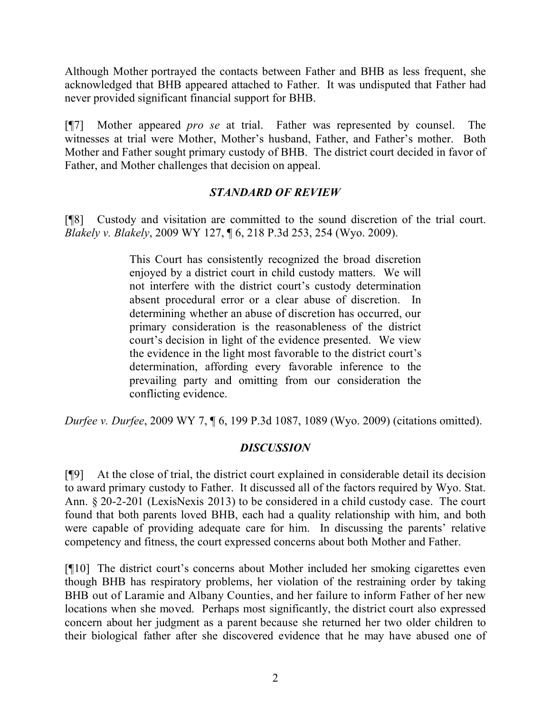Although Mother portrayed the contacts between Father and BHB as less frequent, she acknowledged that BHB appeared attached to Father. It was undisputed that Father had never provided significant financial support for BHB.

[¶7] Mother appeared *pro se* at trial. Father was represented by counsel. The witnesses at trial were Mother, Mother's husband, Father, and Father's mother. Both Mother and Father sought primary custody of BHB. The district court decided in favor of Father, and Mother challenges that decision on appeal.

# *STANDARD OF REVIEW*

[¶8] Custody and visitation are committed to the sound discretion of the trial court. *Blakely v. Blakely*, 2009 WY 127, ¶ 6, 218 P.3d 253, 254 (Wyo. 2009).

> This Court has consistently recognized the broad discretion enjoyed by a district court in child custody matters. We will not interfere with the district court's custody determination absent procedural error or a clear abuse of discretion. In determining whether an abuse of discretion has occurred, our primary consideration is the reasonableness of the district court's decision in light of the evidence presented. We view the evidence in the light most favorable to the district court's determination, affording every favorable inference to the prevailing party and omitting from our consideration the conflicting evidence.

*Durfee v. Durfee*, 2009 WY 7, ¶ 6, 199 P.3d 1087, 1089 (Wyo. 2009) (citations omitted).

# *DISCUSSION*

[¶9] At the close of trial, the district court explained in considerable detail its decision to award primary custody to Father. It discussed all of the factors required by Wyo. Stat. Ann. § 20-2-201 (LexisNexis 2013) to be considered in a child custody case. The court found that both parents loved BHB, each had a quality relationship with him, and both were capable of providing adequate care for him. In discussing the parents' relative competency and fitness, the court expressed concerns about both Mother and Father.

[¶10] The district court's concerns about Mother included her smoking cigarettes even though BHB has respiratory problems, her violation of the restraining order by taking BHB out of Laramie and Albany Counties, and her failure to inform Father of her new locations when she moved. Perhaps most significantly, the district court also expressed concern about her judgment as a parent because she returned her two older children to their biological father after she discovered evidence that he may have abused one of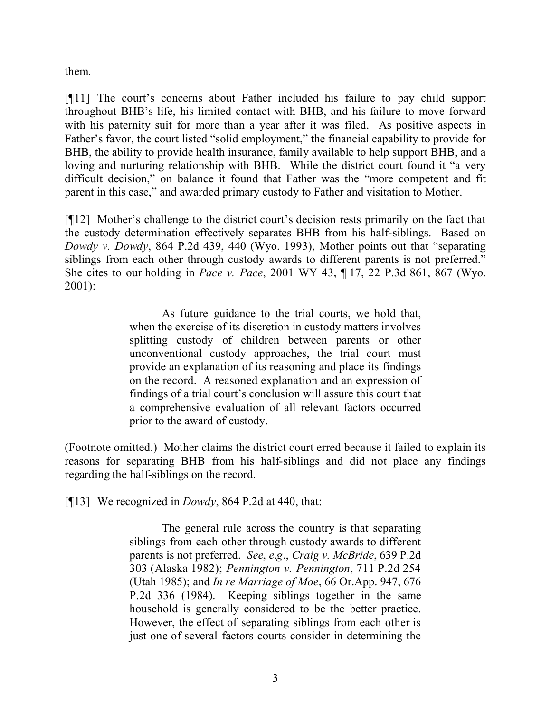them.

[¶11] The court's concerns about Father included his failure to pay child support throughout BHB's life, his limited contact with BHB, and his failure to move forward with his paternity suit for more than a year after it was filed. As positive aspects in Father's favor, the court listed "solid employment," the financial capability to provide for BHB, the ability to provide health insurance, family available to help support BHB, and a loving and nurturing relationship with BHB. While the district court found it "a very difficult decision," on balance it found that Father was the "more competent and fit parent in this case," and awarded primary custody to Father and visitation to Mother.

[¶12] Mother's challenge to the district court's decision rests primarily on the fact that the custody determination effectively separates BHB from his half-siblings. Based on *Dowdy v. Dowdy*, 864 P.2d 439, 440 (Wyo. 1993), Mother points out that "separating siblings from each other through custody awards to different parents is not preferred." She cites to our holding in *Pace v. Pace*, 2001 WY 43, ¶ 17, 22 P.3d 861, 867 (Wyo. 2001):

> As future guidance to the trial courts, we hold that, when the exercise of its discretion in custody matters involves splitting custody of children between parents or other unconventional custody approaches, the trial court must provide an explanation of its reasoning and place its findings on the record. A reasoned explanation and an expression of findings of a trial court's conclusion will assure this court that a comprehensive evaluation of all relevant factors occurred prior to the award of custody.

(Footnote omitted.) Mother claims the district court erred because it failed to explain its reasons for separating BHB from his half-siblings and did not place any findings regarding the half-siblings on the record.

[¶13] We recognized in *Dowdy*, 864 P.2d at 440, that:

The general rule across the country is that separating siblings from each other through custody awards to different parents is not preferred. *See*, *e*.*g*., *Craig v. McBride*, 639 P.2d 303 (Alaska 1982); *Pennington v. Pennington*, 711 P.2d 254 (Utah 1985); and *In re Marriage of Moe*, 66 Or.App. 947, 676 P.2d 336 (1984). Keeping siblings together in the same household is generally considered to be the better practice. However, the effect of separating siblings from each other is just one of several factors courts consider in determining the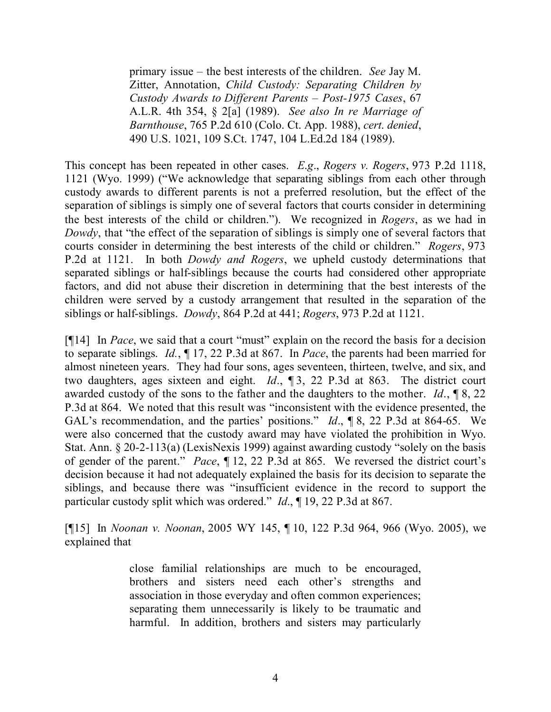primary issue – the best interests of the children. *See* Jay M. Zitter, Annotation, *Child Custody: Separating Children by Custody Awards to Different Parents – Post-1975 Cases*, 67 A.L.R. 4th 354, § 2[a] (1989). *See also In re Marriage of Barnthouse*, 765 P.2d 610 (Colo. Ct. App. 1988), *cert*. *denied*, 490 U.S. 1021, 109 S.Ct. 1747, 104 L.Ed.2d 184 (1989).

This concept has been repeated in other cases. *E*.*g*., *Rogers v. Rogers*, 973 P.2d 1118, 1121 (Wyo. 1999) ("We acknowledge that separating siblings from each other through custody awards to different parents is not a preferred resolution, but the effect of the separation of siblings is simply one of several factors that courts consider in determining the best interests of the child or children."). We recognized in *Rogers*, as we had in *Dowdy*, that "the effect of the separation of siblings is simply one of several factors that courts consider in determining the best interests of the child or children." *Rogers*, 973 P.2d at 1121. In both *Dowdy and Rogers*, we upheld custody determinations that separated siblings or half-siblings because the courts had considered other appropriate factors, and did not abuse their discretion in determining that the best interests of the children were served by a custody arrangement that resulted in the separation of the siblings or half-siblings. *Dowdy*, 864 P.2d at 441; *Rogers*, 973 P.2d at 1121.

[¶14] In *Pace*, we said that a court "must" explain on the record the basis for a decision to separate siblings. *Id.*, ¶ 17, 22 P.3d at 867. In *Pace*, the parents had been married for almost nineteen years. They had four sons, ages seventeen, thirteen, twelve, and six, and two daughters, ages sixteen and eight. *Id*., ¶ 3, 22 P.3d at 863. The district court awarded custody of the sons to the father and the daughters to the mother. *Id*., ¶ 8, 22 P.3d at 864. We noted that this result was "inconsistent with the evidence presented, the GAL's recommendation, and the parties' positions." *Id*., ¶ 8, 22 P.3d at 864-65. We were also concerned that the custody award may have violated the prohibition in Wyo. Stat. Ann. § 20-2-113(a) (LexisNexis 1999) against awarding custody "solely on the basis of gender of the parent." *Pace*, ¶ 12, 22 P.3d at 865. We reversed the district court's decision because it had not adequately explained the basis for its decision to separate the siblings, and because there was "insufficient evidence in the record to support the particular custody split which was ordered." *Id*., ¶ 19, 22 P.3d at 867.

[¶15] In *Noonan v. Noonan*, 2005 WY 145, ¶ 10, 122 P.3d 964, 966 (Wyo. 2005), we explained that

> close familial relationships are much to be encouraged, brothers and sisters need each other's strengths and association in those everyday and often common experiences; separating them unnecessarily is likely to be traumatic and harmful. In addition, brothers and sisters may particularly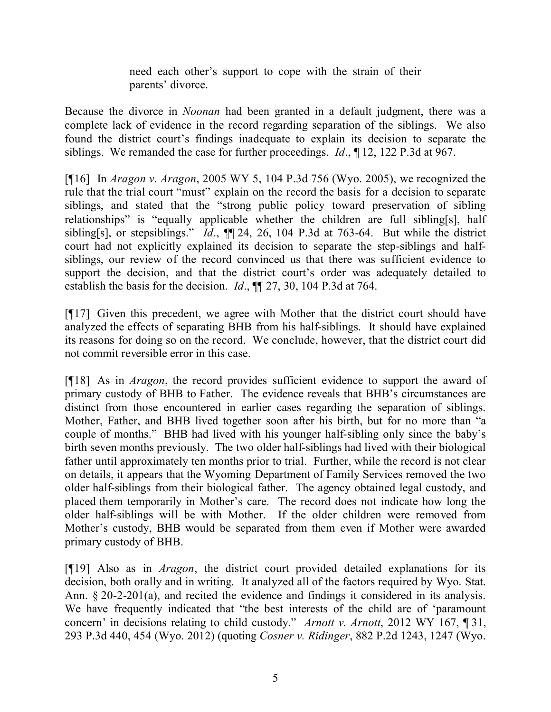need each other's support to cope with the strain of their parents' divorce.

Because the divorce in *Noonan* had been granted in a default judgment, there was a complete lack of evidence in the record regarding separation of the siblings. We also found the district court's findings inadequate to explain its decision to separate the siblings. We remanded the case for further proceedings. *Id*., ¶ 12, 122 P.3d at 967.

[¶16] In *Aragon v. Aragon*, 2005 WY 5, 104 P.3d 756 (Wyo. 2005), we recognized the rule that the trial court "must" explain on the record the basis for a decision to separate siblings, and stated that the "strong public policy toward preservation of sibling relationships" is "equally applicable whether the children are full sibling[s], half sibling[s], or stepsiblings." *Id*., ¶¶ 24, 26, 104 P.3d at 763-64. But while the district court had not explicitly explained its decision to separate the step-siblings and halfsiblings, our review of the record convinced us that there was sufficient evidence to support the decision, and that the district court's order was adequately detailed to establish the basis for the decision. *Id*., ¶¶ 27, 30, 104 P.3d at 764.

[¶17] Given this precedent, we agree with Mother that the district court should have analyzed the effects of separating BHB from his half-siblings. It should have explained its reasons for doing so on the record. We conclude, however, that the district court did not commit reversible error in this case.

[¶18] As in *Aragon*, the record provides sufficient evidence to support the award of primary custody of BHB to Father. The evidence reveals that BHB's circumstances are distinct from those encountered in earlier cases regarding the separation of siblings. Mother, Father, and BHB lived together soon after his birth, but for no more than "a couple of months." BHB had lived with his younger half-sibling only since the baby's birth seven months previously. The two older half-siblings had lived with their biological father until approximately ten months prior to trial. Further, while the record is not clear on details, it appears that the Wyoming Department of Family Services removed the two older half-siblings from their biological father. The agency obtained legal custody, and placed them temporarily in Mother's care. The record does not indicate how long the older half-siblings will be with Mother. If the older children were removed from Mother's custody, BHB would be separated from them even if Mother were awarded primary custody of BHB.

[¶19] Also as in *Aragon*, the district court provided detailed explanations for its decision, both orally and in writing. It analyzed all of the factors required by Wyo. Stat. Ann. § 20-2-201(a), and recited the evidence and findings it considered in its analysis. We have frequently indicated that "the best interests of the child are of 'paramount concern' in decisions relating to child custody." *Arnott v. Arnott*, 2012 WY 167, ¶ 31, 293 P.3d 440, 454 (Wyo. 2012) (quoting *Cosner v. Ridinger*, 882 P.2d 1243, 1247 (Wyo.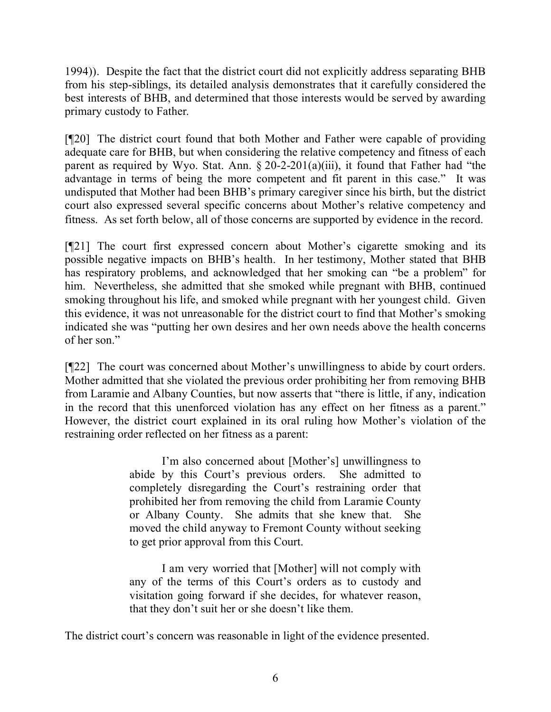1994)). Despite the fact that the district court did not explicitly address separating BHB from his step-siblings, its detailed analysis demonstrates that it carefully considered the best interests of BHB, and determined that those interests would be served by awarding primary custody to Father.

[¶20] The district court found that both Mother and Father were capable of providing adequate care for BHB, but when considering the relative competency and fitness of each parent as required by Wyo. Stat. Ann.  $\S 20-2-201(a)(iii)$ , it found that Father had "the advantage in terms of being the more competent and fit parent in this case." It was undisputed that Mother had been BHB's primary caregiver since his birth, but the district court also expressed several specific concerns about Mother's relative competency and fitness. As set forth below, all of those concerns are supported by evidence in the record.

[¶21] The court first expressed concern about Mother's cigarette smoking and its possible negative impacts on BHB's health. In her testimony, Mother stated that BHB has respiratory problems, and acknowledged that her smoking can "be a problem" for him. Nevertheless, she admitted that she smoked while pregnant with BHB, continued smoking throughout his life, and smoked while pregnant with her youngest child. Given this evidence, it was not unreasonable for the district court to find that Mother's smoking indicated she was "putting her own desires and her own needs above the health concerns of her son."

[¶22] The court was concerned about Mother's unwillingness to abide by court orders. Mother admitted that she violated the previous order prohibiting her from removing BHB from Laramie and Albany Counties, but now asserts that "there is little, if any, indication in the record that this unenforced violation has any effect on her fitness as a parent." However, the district court explained in its oral ruling how Mother's violation of the restraining order reflected on her fitness as a parent:

> I'm also concerned about [Mother's] unwillingness to abide by this Court's previous orders. She admitted to completely disregarding the Court's restraining order that prohibited her from removing the child from Laramie County or Albany County. She admits that she knew that. She moved the child anyway to Fremont County without seeking to get prior approval from this Court.

> I am very worried that [Mother] will not comply with any of the terms of this Court's orders as to custody and visitation going forward if she decides, for whatever reason, that they don't suit her or she doesn't like them.

The district court's concern was reasonable in light of the evidence presented.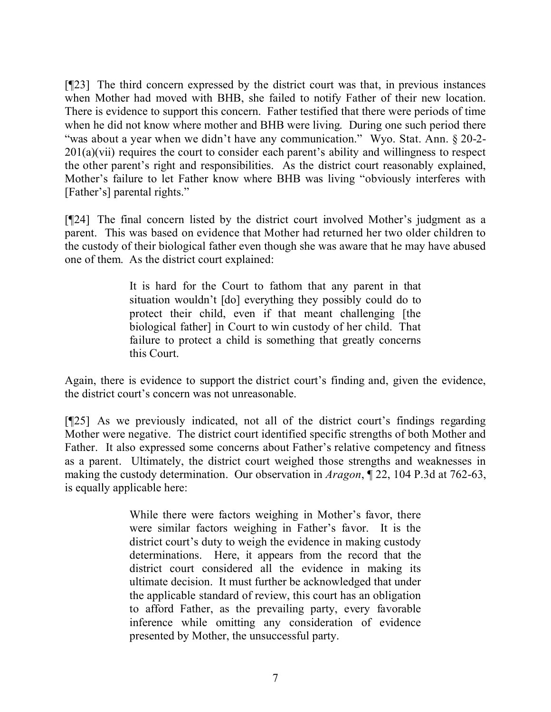[¶23] The third concern expressed by the district court was that, in previous instances when Mother had moved with BHB, she failed to notify Father of their new location. There is evidence to support this concern. Father testified that there were periods of time when he did not know where mother and BHB were living. During one such period there "was about a year when we didn't have any communication." Wyo. Stat. Ann. § 20-2-201(a)(vii) requires the court to consider each parent's ability and willingness to respect the other parent's right and responsibilities. As the district court reasonably explained, Mother's failure to let Father know where BHB was living "obviously interferes with [Father's] parental rights."

[¶24] The final concern listed by the district court involved Mother's judgment as a parent. This was based on evidence that Mother had returned her two older children to the custody of their biological father even though she was aware that he may have abused one of them. As the district court explained:

> It is hard for the Court to fathom that any parent in that situation wouldn't [do] everything they possibly could do to protect their child, even if that meant challenging [the biological father] in Court to win custody of her child. That failure to protect a child is something that greatly concerns this Court.

Again, there is evidence to support the district court's finding and, given the evidence, the district court's concern was not unreasonable.

[¶25] As we previously indicated, not all of the district court's findings regarding Mother were negative. The district court identified specific strengths of both Mother and Father. It also expressed some concerns about Father's relative competency and fitness as a parent. Ultimately, the district court weighed those strengths and weaknesses in making the custody determination. Our observation in *Aragon*, ¶ 22, 104 P.3d at 762-63, is equally applicable here:

> While there were factors weighing in Mother's favor, there were similar factors weighing in Father's favor. It is the district court's duty to weigh the evidence in making custody determinations. Here, it appears from the record that the district court considered all the evidence in making its ultimate decision. It must further be acknowledged that under the applicable standard of review, this court has an obligation to afford Father, as the prevailing party, every favorable inference while omitting any consideration of evidence presented by Mother, the unsuccessful party.